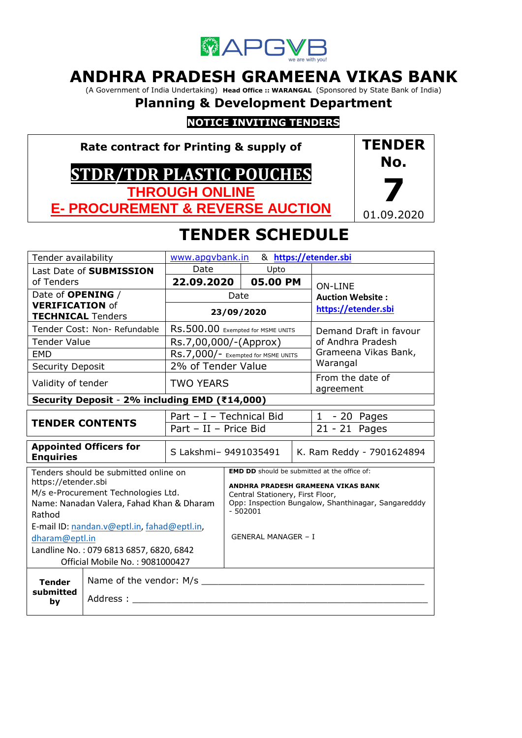

# **ANDHRA PRADESH GRAMEENA VIKAS BANK**

(A Government of India Undertaking) **Head Office :: WARANGAL** (Sponsored by State Bank of India)

**Planning & Development Department**

## **NOTICE INVITING TENDERS**

**Rate contract for Printing & supply of**

# **STDR/TDR PLASTIC POUCHES THROUGH ONLINE**

**E- PROCUREMENT & REVERSE AUCTION**



# **TENDER SCHEDULE**

| Tender availability                     |                                               | www.apqvbank.in                    |  |                            |                                                     | & https://etender.sbi                               |  |
|-----------------------------------------|-----------------------------------------------|------------------------------------|--|----------------------------|-----------------------------------------------------|-----------------------------------------------------|--|
|                                         | Last Date of SUBMISSION                       | Date                               |  | Upto                       |                                                     |                                                     |  |
| of Tenders                              |                                               | 22.09.2020                         |  | 05.00 PM                   |                                                     | <b>ON-LINE</b>                                      |  |
| Date of <b>OPENING</b> /                |                                               | Date                               |  |                            |                                                     | <b>Auction Website:</b>                             |  |
| <b>VERIFICATION of</b>                  |                                               |                                    |  | 23/09/2020                 |                                                     | https://etender.sbi                                 |  |
| <b>TECHNICAL Tenders</b>                |                                               |                                    |  |                            |                                                     |                                                     |  |
|                                         | Tender Cost: Non- Refundable                  | RS.500.00 Exempted for MSME UNITS  |  |                            | Demand Draft in favour                              |                                                     |  |
| <b>Tender Value</b>                     |                                               | Rs.7,00,000/-(Approx)              |  |                            |                                                     | of Andhra Pradesh                                   |  |
| <b>EMD</b>                              |                                               | RS.7,000/- Exempted for MSME UNITS |  |                            |                                                     | Grameena Vikas Bank,                                |  |
| <b>Security Deposit</b>                 |                                               | 2% of Tender Value                 |  |                            |                                                     | Warangal                                            |  |
| Validity of tender                      |                                               | <b>TWO YEARS</b>                   |  |                            |                                                     | From the date of<br>agreement                       |  |
|                                         | Security Deposit - 2% including EMD (₹14,000) |                                    |  |                            |                                                     |                                                     |  |
|                                         |                                               | Part - I - Technical Bid           |  | $1 - 20$ Pages             |                                                     |                                                     |  |
|                                         | <b>TENDER CONTENTS</b>                        | Part - II - Price Bid              |  |                            | 21 - 21 Pages                                       |                                                     |  |
| <b>Enquiries</b>                        | <b>Appointed Officers for</b>                 | S Lakshmi- 9491035491              |  | K. Ram Reddy - 7901624894  |                                                     |                                                     |  |
|                                         | Tenders should be submitted online on         |                                    |  |                            |                                                     | <b>EMD DD</b> should be submitted at the office of: |  |
| https://etender.sbi                     |                                               |                                    |  |                            |                                                     | ANDHRA PRADESH GRAMEENA VIKAS BANK                  |  |
|                                         | M/s e-Procurement Technologies Ltd.           | Central Stationery, First Floor,   |  |                            |                                                     |                                                     |  |
|                                         | Name: Nanadan Valera, Fahad Khan & Dharam     | $-502001$                          |  |                            | Opp: Inspection Bungalow, Shanthinagar, Sangaredddy |                                                     |  |
| Rathod                                  |                                               |                                    |  |                            |                                                     |                                                     |  |
|                                         | E-mail ID: nandan.v@eptl.in, fahad@eptl.in,   |                                    |  |                            |                                                     |                                                     |  |
| dharam@eptl.in                          |                                               |                                    |  | <b>GENERAL MANAGER - I</b> |                                                     |                                                     |  |
| Landline No.: 079 6813 6857, 6820, 6842 |                                               |                                    |  |                            |                                                     |                                                     |  |
|                                         | Official Mobile No.: 9081000427               |                                    |  |                            |                                                     |                                                     |  |
| <b>Tender</b>                           | Name of the vendor: M/s _                     |                                    |  |                            |                                                     |                                                     |  |
| submitted<br>by                         | Address: _                                    |                                    |  |                            |                                                     |                                                     |  |
|                                         |                                               |                                    |  |                            |                                                     |                                                     |  |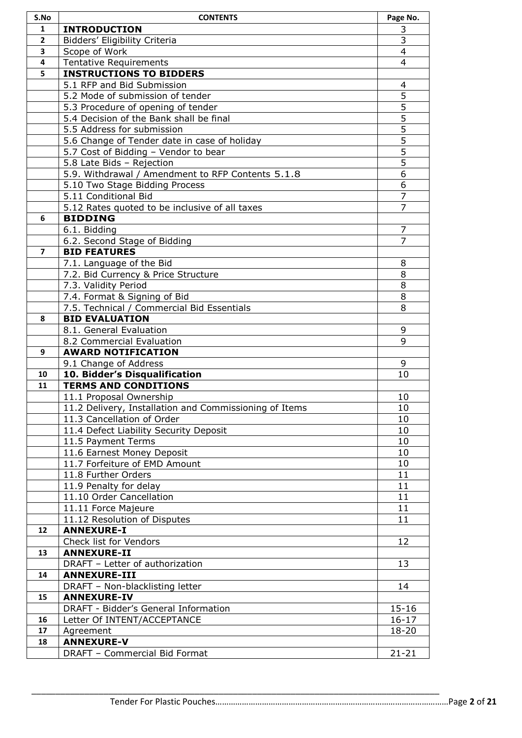| S.No           | <b>CONTENTS</b>                                             | Page No.       |
|----------------|-------------------------------------------------------------|----------------|
| 1              | <b>INTRODUCTION</b>                                         | 3              |
| $\overline{2}$ | Bidders' Eligibility Criteria                               | 3              |
| 3              | Scope of Work                                               | 4              |
| 4              | <b>Tentative Requirements</b>                               | 4              |
| 5              | <b>INSTRUCTIONS TO BIDDERS</b>                              |                |
|                | 5.1 RFP and Bid Submission                                  | 4              |
|                | 5.2 Mode of submission of tender                            | $\overline{5}$ |
|                | 5.3 Procedure of opening of tender                          | $\overline{5}$ |
|                | 5.4 Decision of the Bank shall be final                     | $\overline{5}$ |
|                | 5.5 Address for submission                                  | $\overline{5}$ |
|                | 5.6 Change of Tender date in case of holiday                | $\overline{5}$ |
|                | 5.7 Cost of Bidding - Vendor to bear                        | $\overline{5}$ |
|                | 5.8 Late Bids - Rejection                                   | $\overline{5}$ |
|                | 5.9. Withdrawal / Amendment to RFP Contents 5.1.8           | 6              |
|                | 5.10 Two Stage Bidding Process                              | 6              |
|                | 5.11 Conditional Bid                                        | $\overline{7}$ |
|                | 5.12 Rates quoted to be inclusive of all taxes              | $\overline{7}$ |
| 6              | <b>BIDDING</b>                                              |                |
|                | 6.1. Bidding                                                | 7<br>7         |
| $\overline{ }$ | 6.2. Second Stage of Bidding<br><b>BID FEATURES</b>         |                |
|                | 7.1. Language of the Bid                                    | 8              |
|                | 7.2. Bid Currency & Price Structure                         | 8              |
|                | 7.3. Validity Period                                        | 8              |
|                | 7.4. Format & Signing of Bid                                | 8              |
|                | 7.5. Technical / Commercial Bid Essentials                  | 8              |
| 8              | <b>BID EVALUATION</b>                                       |                |
|                | 8.1. General Evaluation                                     | 9              |
|                | 8.2 Commercial Evaluation                                   | 9              |
| 9              | <b>AWARD NOTIFICATION</b>                                   |                |
|                | 9.1 Change of Address                                       | 9              |
| 10             | 10. Bidder's Disqualification                               | 10             |
| 11             | <b>TERMS AND CONDITIONS</b>                                 |                |
|                | 11.1 Proposal Ownership                                     | 10             |
|                | 11.2 Delivery, Installation and Commissioning of Items      | 10             |
|                | 11.3 Cancellation of Order                                  | 10             |
|                | 11.4 Defect Liability Security Deposit                      | 10             |
|                | 11.5 Payment Terms                                          | 10             |
|                | 11.6 Earnest Money Deposit<br>11.7 Forfeiture of EMD Amount | 10             |
|                | 11.8 Further Orders                                         | 10<br>11       |
|                | 11.9 Penalty for delay                                      | 11             |
|                | 11.10 Order Cancellation                                    | 11             |
|                | 11.11 Force Majeure                                         | 11             |
|                | 11.12 Resolution of Disputes                                | 11             |
| 12             | <b>ANNEXURE-I</b>                                           |                |
|                | Check list for Vendors                                      | 12             |
| 13             | <b>ANNEXURE-II</b>                                          |                |
|                | DRAFT - Letter of authorization                             | 13             |
| 14             | <b>ANNEXURE-III</b>                                         |                |
|                | DRAFT - Non-blacklisting letter                             | 14             |
| 15             | <b>ANNEXURE-IV</b>                                          |                |
|                | DRAFT - Bidder's General Information                        | $15 - 16$      |
| 16             | Letter Of INTENT/ACCEPTANCE                                 | $16 - 17$      |
| 17             | Agreement                                                   | 18-20          |
| 18             | <b>ANNEXURE-V</b>                                           |                |
|                | DRAFT - Commercial Bid Format                               | $21 - 21$      |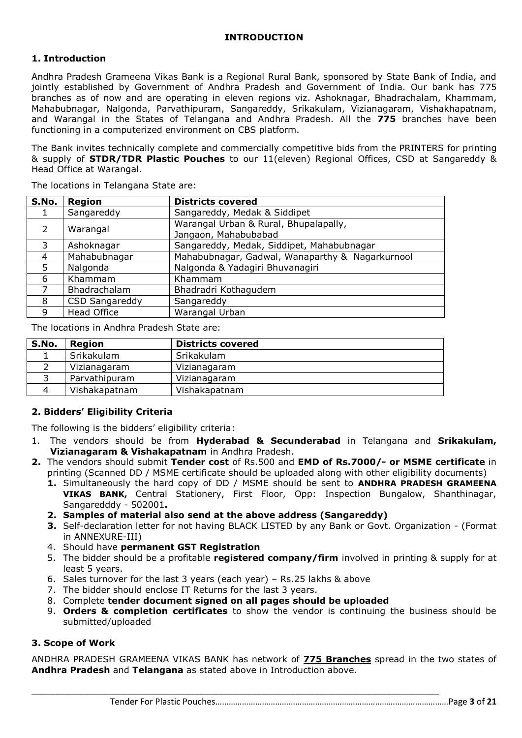## **1. Introduction**

Andhra Pradesh Grameena Vikas Bank is a Regional Rural Bank, sponsored by State Bank of India, and jointly established by Government of Andhra Pradesh and Government of India. Our bank has 775 branches as of now and are operating in eleven regions viz. Ashoknagar, Bhadrachalam, Khammam, Mahabubnagar, Nalgonda, Parvathipuram, Sangareddy, Srikakulam, Vizianagaram, Vishakhapatnam, and Warangal in the States of Telangana and Andhra Pradesh. All the **775** branches have been functioning in a computerized environment on CBS platform.

The Bank invites technically complete and commercially competitive bids from the PRINTERS for printing & supply of **STDR/TDR Plastic Pouches** to our 11(eleven) Regional Offices, CSD at Sangareddy & Head Office at Warangal.

The locations in Telangana State are:

| S.No.         | <b>Region</b>         | <b>Districts covered</b>                        |
|---------------|-----------------------|-------------------------------------------------|
|               | Sangareddy            | Sangareddy, Medak & Siddipet                    |
| $\mathcal{P}$ | Warangal              | Warangal Urban & Rural, Bhupalapally,           |
|               |                       | Jangaon, Mahabubabad                            |
| 3             | Ashoknagar            | Sangareddy, Medak, Siddipet, Mahabubnagar       |
| 4             | Mahabubnagar          | Mahabubnagar, Gadwal, Wanaparthy & Nagarkurnool |
| 5             | Nalgonda              | Nalgonda & Yadagiri Bhuvanagiri                 |
| 6             | Khammam               | Khammam                                         |
|               | Bhadrachalam          | Bhadradri Kothagudem                            |
| 8             | <b>CSD Sangareddy</b> | Sangareddy                                      |
| 9             | <b>Head Office</b>    | Warangal Urban                                  |

The locations in Andhra Pradesh State are:

| S.No. | Region        | <b>Districts covered</b> |
|-------|---------------|--------------------------|
|       | Srikakulam    | Srikakulam               |
|       | Vizianagaram  | Vizianagaram             |
|       | Parvathipuram | Vizianagaram             |
|       | Vishakapatnam | Vishakapatnam            |

## **2. Bidders' Eligibility Criteria**

The following is the bidders' eligibility criteria:

- 1. The vendors should be from **Hyderabad & Secunderabad** in Telangana and **Srikakulam, Vizianagaram & Vishakapatnam** in Andhra Pradesh.
- **2.** The vendors should submit **Tender cost** of Rs.500 and **EMD of Rs.7000/- or MSME certificate** in printing (Scanned DD / MSME certificate should be uploaded along with other eligibility documents)
	- **1.** Simultaneously the hard copy of DD / MSME should be sent to **ANDHRA PRADESH GRAMEENA VIKAS BANK,** Central Stationery, First Floor, Opp: Inspection Bungalow, Shanthinagar, Sangaredddy - 502001**.**
	- **2. Samples of material also send at the above address (Sangareddy)**
	- **3.** Self-declaration letter for not having BLACK LISTED by any Bank or Govt. Organization (Format in ANNEXURE-III)
	- 4. Should have **permanent GST Registration**
	- 5. The bidder should be a profitable **registered company/firm** involved in printing & supply for at least 5 years.
	- 6. Sales turnover for the last 3 years (each year) Rs.25 lakhs & above
	- 7. The bidder should enclose IT Returns for the last 3 years.
	- 8. Complete **tender document signed on all pages should be uploaded**

\_\_\_\_\_\_\_\_\_\_\_\_\_\_\_\_\_\_\_\_\_\_\_\_\_\_\_\_\_\_\_\_\_\_\_\_\_\_\_\_\_\_\_\_\_\_\_\_\_\_\_\_\_\_\_\_\_\_\_\_\_\_\_\_\_\_\_\_\_\_\_\_\_\_\_\_\_\_\_\_\_\_\_\_\_

9. **Orders & completion certificates** to show the vendor is continuing the business should be submitted/uploaded

## **3. Scope of Work**

ANDHRA PRADESH GRAMEENA VIKAS BANK has network of **775 Branches** spread in the two states of **Andhra Pradesh** and **Telangana** as stated above in Introduction above.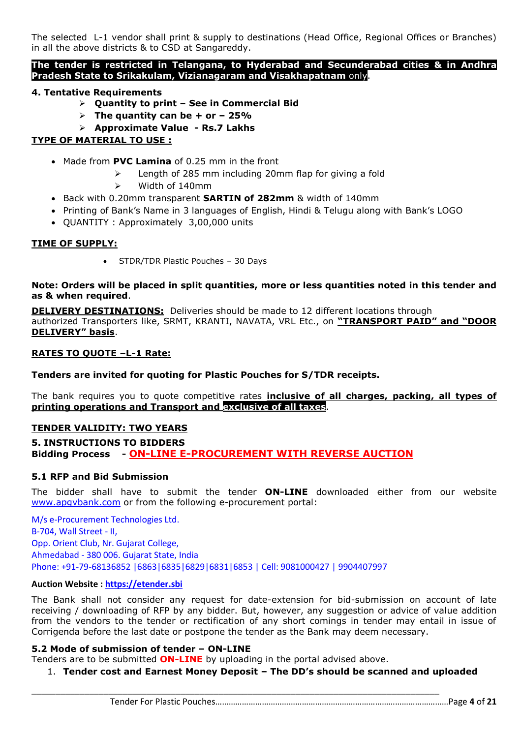The selected L-1 vendor shall print & supply to destinations (Head Office, Regional Offices or Branches) in all the above districts & to CSD at Sangareddy.

#### **The tender is restricted in Telangana, to Hyderabad and Secunderabad cities & in Andhra Pradesh State to Srikakulam, Vizianagaram and Visakhapatnam** only.

## **4. Tentative Requirements**

- **Quantity to print – See in Commercial Bid**
- $\triangleright$  The quantity can be + or 25%
- **Approximate Value - Rs.7 Lakhs**

## **TYPE OF MATERIAL TO USE :**

- Made from **PVC Lamina** of 0.25 mm in the front
	- $\geq$  Length of 285 mm including 20mm flap for giving a fold
	- Width of 140mm
- Back with 0.20mm transparent **SARTIN of 282mm** & width of 140mm
- Printing of Bank's Name in 3 languages of English, Hindi & Telugu along with Bank's LOGO
- QUANTITY : Approximately 3,00,000 units

## **TIME OF SUPPLY:**

• STDR/TDR Plastic Pouches - 30 Days

#### **Note: Orders will be placed in split quantities, more or less quantities noted in this tender and as & when required**.

**DELIVERY DESTINATIONS:** Deliveries should be made to 12 different locations through authorized Transporters like, SRMT, KRANTI, NAVATA, VRL Etc., on **"TRANSPORT PAID" and "DOOR DELIVERY" basis**.

#### **RATES TO QUOTE –L-1 Rate:**

**Tenders are invited for quoting for Plastic Pouches for S/TDR receipts.**

The bank requires you to quote competitive rates **inclusive of all charges, packing, all types of printing operations and Transport and exclusive of all taxes**.

## **TENDER VALIDITY: TWO YEARS**

**5. INSTRUCTIONS TO BIDDERS Bidding Process - ON-LINE E-PROCUREMENT WITH REVERSE AUCTION**

## **5.1 RFP and Bid Submission**

The bidder shall have to submit the tender **ON-LINE** downloaded either from our website [www.apgvbank.com](http://www.apgvbank.com/) or from the following e-procurement portal:

M/s e-Procurement Technologies Ltd. B-704, Wall Street - II, Opp. Orient Club, Nr. Gujarat College, Ahmedabad - 380 006. Gujarat State, India Phone: +91-79-68136852 |6863|6835|6829|6831|6853 | Cell: 9081000427 | 9904407997

#### **Auction Website : [https://etender.sbi](https://etender.sbi/)**

The Bank shall not consider any request for date-extension for bid-submission on account of late receiving / downloading of RFP by any bidder. But, however, any suggestion or advice of value addition from the vendors to the tender or rectification of any short comings in tender may entail in issue of Corrigenda before the last date or postpone the tender as the Bank may deem necessary.

#### **5.2 Mode of submission of tender – ON-LINE**

Tenders are to be submitted **ON-LINE** by uploading in the portal advised above.

\_\_\_\_\_\_\_\_\_\_\_\_\_\_\_\_\_\_\_\_\_\_\_\_\_\_\_\_\_\_\_\_\_\_\_\_\_\_\_\_\_\_\_\_\_\_\_\_\_\_\_\_\_\_\_\_\_\_\_\_\_\_\_\_\_\_\_\_\_\_\_\_\_\_\_\_\_\_\_\_\_\_\_\_\_

## 1. **Tender cost and Earnest Money Deposit – The DD's should be scanned and uploaded**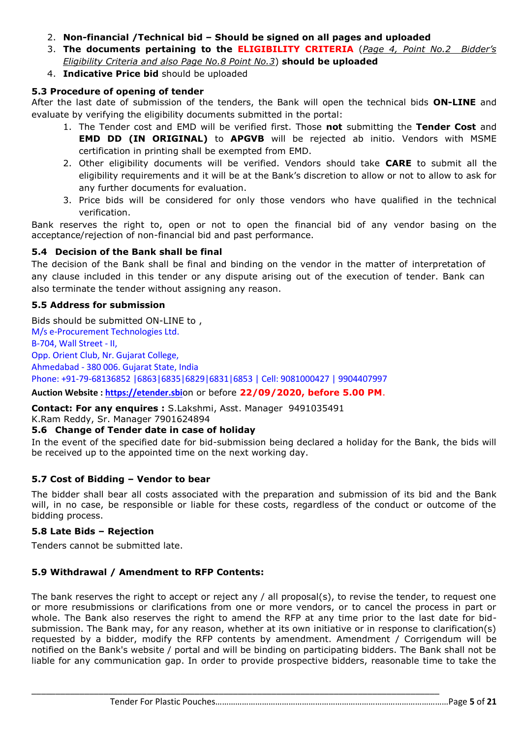- 2. **Non-financial /Technical bid – Should be signed on all pages and uploaded**
- 3. **The documents pertaining to the ELIGIBILITY CRITERIA** (*Page 4, Point No.2 Bidder's Eligibility Criteria and also Page No.8 Point No.3*) **should be uploaded**
- 4. **Indicative Price bid** should be uploaded

## **5.3 Procedure of opening of tender**

After the last date of submission of the tenders, the Bank will open the technical bids **ON-LINE** and evaluate by verifying the eligibility documents submitted in the portal:

- 1. The Tender cost and EMD will be verified first. Those **not** submitting the **Tender Cost** and **EMD DD (IN ORIGINAL)** to **APGVB** will be rejected ab initio. Vendors with MSME certification in printing shall be exempted from EMD.
- 2. Other eligibility documents will be verified. Vendors should take **CARE** to submit all the eligibility requirements and it will be at the Bank's discretion to allow or not to allow to ask for any further documents for evaluation.
- 3. Price bids will be considered for only those vendors who have qualified in the technical verification.

Bank reserves the right to, open or not to open the financial bid of any vendor basing on the acceptance/rejection of non-financial bid and past performance.

## **5.4 Decision of the Bank shall be final**

The decision of the Bank shall be final and binding on the vendor in the matter of interpretation of any clause included in this tender or any dispute arising out of the execution of tender. Bank can also terminate the tender without assigning any reason.

## **5.5 Address for submission**

Bids should be submitted ON-LINE to , M/s e-Procurement Technologies Ltd. B-704, Wall Street - II, Opp. Orient Club, Nr. Gujarat College, Ahmedabad - 380 006. Gujarat State, India Phone: +91-79-68136852 |6863|6835|6829|6831|6853 | Cell: 9081000427 | 9904407997 **Auction Website : [https://etender.sbi](https://etender.sbi/)**on or before **22/09/2020, before 5.00 PM**.

**Contact: For any enquires :** S.Lakshmi, Asst. Manager 9491035491

K.Ram Reddy, Sr. Manager 7901624894

## **5.6 Change of Tender date in case of holiday**

In the event of the specified date for bid-submission being declared a holiday for the Bank, the bids will be received up to the appointed time on the next working day.

## **5.7 Cost of Bidding – Vendor to bear**

The bidder shall bear all costs associated with the preparation and submission of its bid and the Bank will, in no case, be responsible or liable for these costs, regardless of the conduct or outcome of the bidding process.

## **5.8 Late Bids – Rejection**

Tenders cannot be submitted late.

## **5.9 Withdrawal / Amendment to RFP Contents:**

The bank reserves the right to accept or reject any / all proposal(s), to revise the tender, to request one or more resubmissions or clarifications from one or more vendors, or to cancel the process in part or whole. The Bank also reserves the right to amend the RFP at any time prior to the last date for bidsubmission. The Bank may, for any reason, whether at its own initiative or in response to clarification(s) requested by a bidder, modify the RFP contents by amendment. Amendment / Corrigendum will be notified on the Bank's website / portal and will be binding on participating bidders. The Bank shall not be liable for any communication gap. In order to provide prospective bidders, reasonable time to take the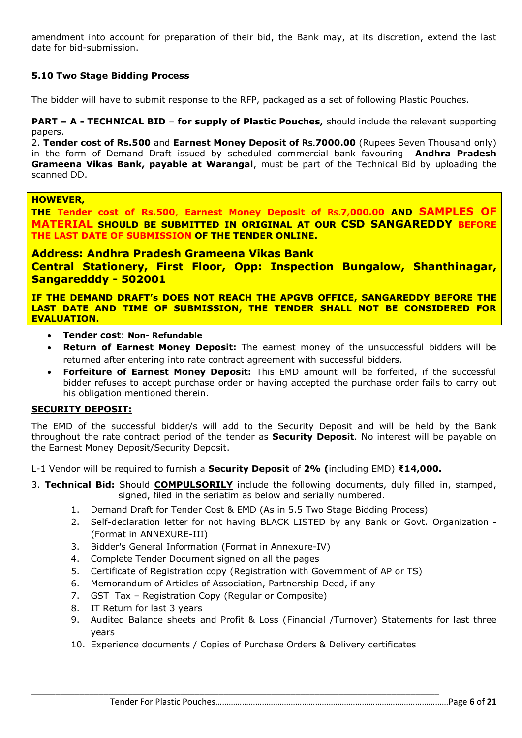amendment into account for preparation of their bid, the Bank may, at its discretion, extend the last date for bid-submission.

## **5.10 Two Stage Bidding Process**

The bidder will have to submit response to the RFP, packaged as a set of following Plastic Pouches.

#### **PART – A - TECHNICAL BID** – **for supply of Plastic Pouches,** should include the relevant supporting papers.

2. **Tender cost of Rs.500** and **Earnest Money Deposit of** Rs.**7000.00** (Rupees Seven Thousand only) in the form of Demand Draft issued by scheduled commercial bank favouring **Andhra Pradesh Grameena Vikas Bank, payable at Warangal**, must be part of the Technical Bid by uploading the scanned DD.

#### **HOWEVER,**

**THE Tender cost of Rs.500**, **Earnest Money Deposit of** Rs.**7,000.00 AND SAMPLES OF MATERIAL SHOULD BE SUBMITTED IN ORIGINAL AT OUR CSD SANGAREDDY BEFORE THE LAST DATE OF SUBMISSION OF THE TENDER ONLINE.**

## **Address: Andhra Pradesh Grameena Vikas Bank**

**Central Stationery, First Floor, Opp: Inspection Bungalow, Shanthinagar, Sangaredddy - 502001**

**IF THE DEMAND DRAFT's DOES NOT REACH THE APGVB OFFICE, SANGAREDDY BEFORE THE LAST DATE AND TIME OF SUBMISSION, THE TENDER SHALL NOT BE CONSIDERED FOR EVALUATION.**

- **Tender cost**: **Non- Refundable**
- **Return of Earnest Money Deposit:** The earnest money of the unsuccessful bidders will be returned after entering into rate contract agreement with successful bidders.
- **Forfeiture of Earnest Money Deposit:** This EMD amount will be forfeited, if the successful bidder refuses to accept purchase order or having accepted the purchase order fails to carry out his obligation mentioned therein.

## **SECURITY DEPOSIT:**

The EMD of the successful bidder/s will add to the Security Deposit and will be held by the Bank throughout the rate contract period of the tender as **Security Deposit**. No interest will be payable on the Earnest Money Deposit/Security Deposit.

L-1 Vendor will be required to furnish a **Security Deposit** of **2% (**including EMD) **₹14,000.**

- 3. **Technical Bid:** Should **COMPULSORILY** include the following documents, duly filled in, stamped, signed, filed in the seriatim as below and serially numbered.
	- 1. Demand Draft for Tender Cost & EMD (As in 5.5 Two Stage Bidding Process)
	- 2. Self-declaration letter for not having BLACK LISTED by any Bank or Govt. Organization (Format in ANNEXURE-III)
	- 3. Bidder's General Information (Format in Annexure-IV)
	- 4. Complete Tender Document signed on all the pages
	- 5. Certificate of Registration copy (Registration with Government of AP or TS)
	- 6. Memorandum of Articles of Association, Partnership Deed, if any
	- 7. GST Tax Registration Copy (Regular or Composite)
	- 8. IT Return for last 3 years
	- 9. Audited Balance sheets and Profit & Loss (Financial /Turnover) Statements for last three years
	- 10. Experience documents / Copies of Purchase Orders & Delivery certificates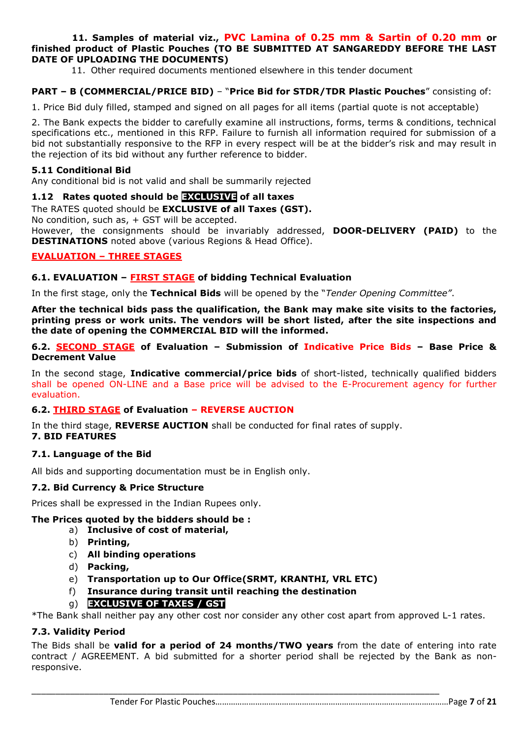#### **11. Samples of material viz., PVC Lamina of 0.25 mm & Sartin of 0.20 mm or finished product of Plastic Pouches (TO BE SUBMITTED AT SANGAREDDY BEFORE THE LAST DATE OF UPLOADING THE DOCUMENTS)**

11. Other required documents mentioned elsewhere in this tender document

## **PART – B (COMMERCIAL/PRICE BID)** – "**Price Bid for STDR/TDR Plastic Pouches**" consisting of:

1. Price Bid duly filled, stamped and signed on all pages for all items (partial quote is not acceptable)

2. The Bank expects the bidder to carefully examine all instructions, forms, terms & conditions, technical specifications etc., mentioned in this RFP. Failure to furnish all information required for submission of a bid not substantially responsive to the RFP in every respect will be at the bidder's risk and may result in the rejection of its bid without any further reference to bidder.

#### **5.11 Conditional Bid**

Any conditional bid is not valid and shall be summarily rejected

#### **1.12 Rates quoted should be EXCLUSIVE of all taxes**

#### The RATES quoted should be **EXCLUSIVE of all Taxes (GST).**

No condition, such as, + GST will be accepted.

However, the consignments should be invariably addressed, **DOOR-DELIVERY (PAID)** to the **DESTINATIONS** noted above (various Regions & Head Office).

#### **EVALUATION – THREE STAGES**

#### **6.1. EVALUATION – FIRST STAGE of bidding Technical Evaluation**

In the first stage, only the **Technical Bids** will be opened by the "*Tender Opening Committee"*.

**After the technical bids pass the qualification, the Bank may make site visits to the factories, printing press or work units. The vendors will be short listed, after the site inspections and the date of opening the COMMERCIAL BID will the informed.**

#### **6.2. SECOND STAGE of Evaluation – Submission of Indicative Price Bids – Base Price & Decrement Value**

In the second stage, **Indicative commercial/price bids** of short-listed, technically qualified bidders shall be opened ON-LINE and a Base price will be advised to the E-Procurement agency for further evaluation.

## **6.2. THIRD STAGE of Evaluation – REVERSE AUCTION**

In the third stage, **REVERSE AUCTION** shall be conducted for final rates of supply. **7. BID FEATURES**

#### **7.1. Language of the Bid**

All bids and supporting documentation must be in English only.

#### **7.2. Bid Currency & Price Structure**

Prices shall be expressed in the Indian Rupees only.

#### **The Prices quoted by the bidders should be :**

- a) **Inclusive of cost of material,** 
	- b) **Printing,**
	- c) **All binding operations**
	- d) **Packing,**
	- e) **Transportation up to Our Office(SRMT, KRANTHI, VRL ETC)**

\_\_\_\_\_\_\_\_\_\_\_\_\_\_\_\_\_\_\_\_\_\_\_\_\_\_\_\_\_\_\_\_\_\_\_\_\_\_\_\_\_\_\_\_\_\_\_\_\_\_\_\_\_\_\_\_\_\_\_\_\_\_\_\_\_\_\_\_\_\_\_\_\_\_\_\_\_\_\_\_\_\_\_\_\_

f) **Insurance during transit until reaching the destination**

## g) **EXCLUSIVE OF TAXES / GST**

\*The Bank shall neither pay any other cost nor consider any other cost apart from approved L-1 rates.

## **7.3. Validity Period**

The Bids shall be **valid for a period of 24 months/TWO years** from the date of entering into rate contract / AGREEMENT. A bid submitted for a shorter period shall be rejected by the Bank as nonresponsive.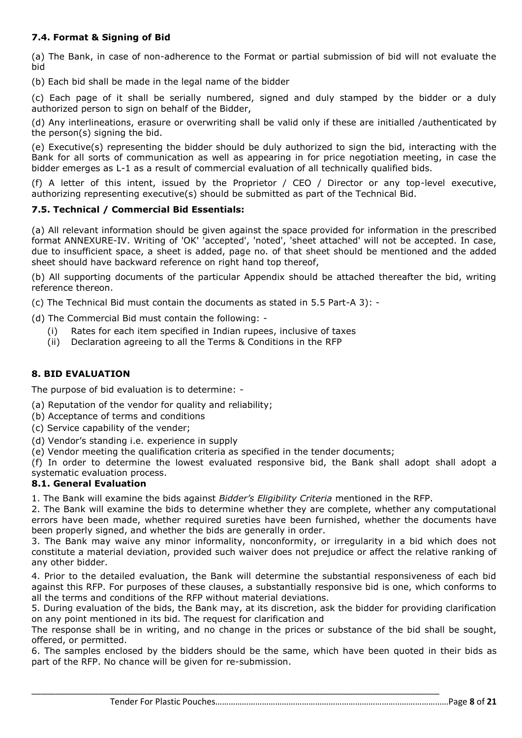## **7.4. Format & Signing of Bid**

(a) The Bank, in case of non-adherence to the Format or partial submission of bid will not evaluate the bid

(b) Each bid shall be made in the legal name of the bidder

(c) Each page of it shall be serially numbered, signed and duly stamped by the bidder or a duly authorized person to sign on behalf of the Bidder,

(d) Any interlineations, erasure or overwriting shall be valid only if these are initialled /authenticated by the person(s) signing the bid.

(e) Executive(s) representing the bidder should be duly authorized to sign the bid, interacting with the Bank for all sorts of communication as well as appearing in for price negotiation meeting, in case the bidder emerges as L-1 as a result of commercial evaluation of all technically qualified bids.

(f) A letter of this intent, issued by the Proprietor / CEO / Director or any top-level executive, authorizing representing executive(s) should be submitted as part of the Technical Bid.

## **7.5. Technical / Commercial Bid Essentials:**

(a) All relevant information should be given against the space provided for information in the prescribed format ANNEXURE-IV. Writing of 'OK' 'accepted', 'noted', 'sheet attached' will not be accepted. In case, due to insufficient space, a sheet is added, page no. of that sheet should be mentioned and the added sheet should have backward reference on right hand top thereof,

(b) All supporting documents of the particular Appendix should be attached thereafter the bid, writing reference thereon.

(c) The Technical Bid must contain the documents as stated in 5.5 Part-A 3): -

(d) The Commercial Bid must contain the following: -

- (i) Rates for each item specified in Indian rupees, inclusive of taxes
- (ii) Declaration agreeing to all the Terms & Conditions in the RFP

## **8. BID EVALUATION**

The purpose of bid evaluation is to determine: -

(a) Reputation of the vendor for quality and reliability;

- (b) Acceptance of terms and conditions
- (c) Service capability of the vender;
- (d) Vendor's standing i.e. experience in supply

(e) Vendor meeting the qualification criteria as specified in the tender documents;

(f) In order to determine the lowest evaluated responsive bid, the Bank shall adopt shall adopt a systematic evaluation process.

## **8.1. General Evaluation**

1. The Bank will examine the bids against *Bidder's Eligibility Criteria* mentioned in the RFP.

2. The Bank will examine the bids to determine whether they are complete, whether any computational errors have been made, whether required sureties have been furnished, whether the documents have been properly signed, and whether the bids are generally in order.

3. The Bank may waive any minor informality, nonconformity, or irregularity in a bid which does not constitute a material deviation, provided such waiver does not prejudice or affect the relative ranking of any other bidder.

4. Prior to the detailed evaluation, the Bank will determine the substantial responsiveness of each bid against this RFP. For purposes of these clauses, a substantially responsive bid is one, which conforms to all the terms and conditions of the RFP without material deviations.

5. During evaluation of the bids, the Bank may, at its discretion, ask the bidder for providing clarification on any point mentioned in its bid. The request for clarification and

The response shall be in writing, and no change in the prices or substance of the bid shall be sought, offered, or permitted.

6. The samples enclosed by the bidders should be the same, which have been quoted in their bids as part of the RFP. No chance will be given for re-submission.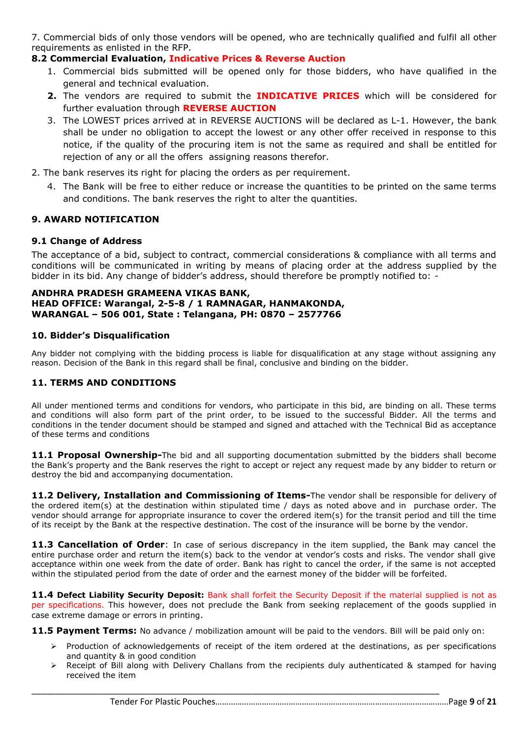7. Commercial bids of only those vendors will be opened, who are technically qualified and fulfil all other requirements as enlisted in the RFP.

## **8.2 Commercial Evaluation, Indicative Prices & Reverse Auction**

- 1. Commercial bids submitted will be opened only for those bidders, who have qualified in the general and technical evaluation.
- **2.** The vendors are required to submit the **INDICATIVE PRICES** which will be considered for further evaluation through **REVERSE AUCTION**
- 3. The LOWEST prices arrived at in REVERSE AUCTIONS will be declared as L-1. However, the bank shall be under no obligation to accept the lowest or any other offer received in response to this notice, if the quality of the procuring item is not the same as required and shall be entitled for rejection of any or all the offers assigning reasons therefor.
- 2. The bank reserves its right for placing the orders as per requirement.
	- 4. The Bank will be free to either reduce or increase the quantities to be printed on the same terms and conditions. The bank reserves the right to alter the quantities.

## **9. AWARD NOTIFICATION**

#### **9.1 Change of Address**

The acceptance of a bid, subject to contract, commercial considerations & compliance with all terms and conditions will be communicated in writing by means of placing order at the address supplied by the bidder in its bid. Any change of bidder's address, should therefore be promptly notified to: -

#### **ANDHRA PRADESH GRAMEENA VIKAS BANK, HEAD OFFICE: Warangal, 2-5-8 / 1 RAMNAGAR, HANMAKONDA, WARANGAL – 506 001, State : Telangana, PH: 0870 – 2577766**

#### **10. Bidder's Disqualification**

Any bidder not complying with the bidding process is liable for disqualification at any stage without assigning any reason. Decision of the Bank in this regard shall be final, conclusive and binding on the bidder.

## **11. TERMS AND CONDITIONS**

All under mentioned terms and conditions for vendors, who participate in this bid, are binding on all. These terms and conditions will also form part of the print order, to be issued to the successful Bidder. All the terms and conditions in the tender document should be stamped and signed and attached with the Technical Bid as acceptance of these terms and conditions

**11.1 Proposal Ownership-**The bid and all supporting documentation submitted by the bidders shall become the Bank's property and the Bank reserves the right to accept or reject any request made by any bidder to return or destroy the bid and accompanying documentation.

**11.2 Delivery, Installation and Commissioning of Items-**The vendor shall be responsible for delivery of the ordered item(s) at the destination within stipulated time / days as noted above and in purchase order. The vendor should arrange for appropriate insurance to cover the ordered item(s) for the transit period and till the time of its receipt by the Bank at the respective destination. The cost of the insurance will be borne by the vendor.

**11.3 Cancellation of Order**: In case of serious discrepancy in the item supplied, the Bank may cancel the entire purchase order and return the item(s) back to the vendor at vendor's costs and risks. The vendor shall give acceptance within one week from the date of order. Bank has right to cancel the order, if the same is not accepted within the stipulated period from the date of order and the earnest money of the bidder will be forfeited.

**11.4 Defect Liability Security Deposit:** Bank shall forfeit the Security Deposit if the material supplied is not as per specifications. This however, does not preclude the Bank from seeking replacement of the goods supplied in case extreme damage or errors in printing.

**11.5 Payment Terms:** No advance / mobilization amount will be paid to the vendors. Bill will be paid only on:

- $\triangleright$  Production of acknowledgements of receipt of the item ordered at the destinations, as per specifications and quantity & in good condition
- $\triangleright$  Receipt of Bill along with Delivery Challans from the recipients duly authenticated & stamped for having received the item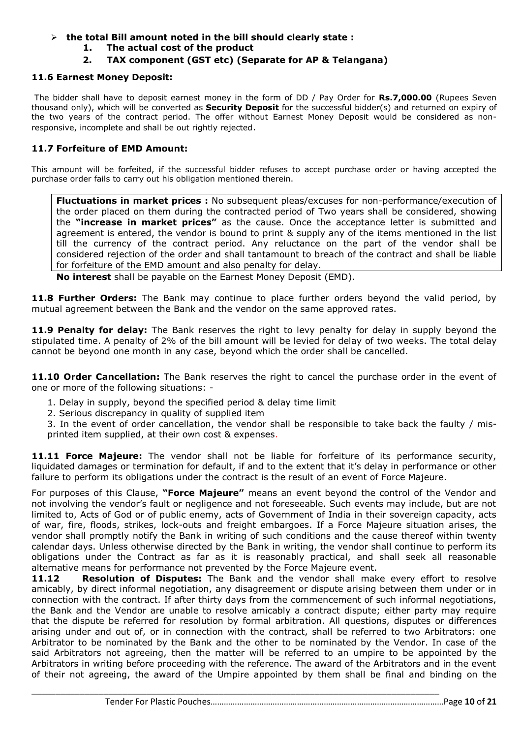## **the total Bill amount noted in the bill should clearly state :**

- **1. The actual cost of the product**
- **2. TAX component (GST etc) (Separate for AP & Telangana)**

#### **11.6 Earnest Money Deposit:**

The bidder shall have to deposit earnest money in the form of DD / Pay Order for **Rs.7,000.00** (Rupees Seven thousand only), which will be converted as **Security Deposit** for the successful bidder(s) and returned on expiry of the two years of the contract period. The offer without Earnest Money Deposit would be considered as nonresponsive, incomplete and shall be out rightly rejected.

## **11.7 Forfeiture of EMD Amount:**

This amount will be forfeited, if the successful bidder refuses to accept purchase order or having accepted the purchase order fails to carry out his obligation mentioned therein.

**Fluctuations in market prices :** No subsequent pleas/excuses for non-performance/execution of the order placed on them during the contracted period of Two years shall be considered, showing the **"increase in market prices"** as the cause. Once the acceptance letter is submitted and agreement is entered, the vendor is bound to print & supply any of the items mentioned in the list till the currency of the contract period. Any reluctance on the part of the vendor shall be considered rejection of the order and shall tantamount to breach of the contract and shall be liable for forfeiture of the EMD amount and also penalty for delay.

**No interest** shall be payable on the Earnest Money Deposit (EMD).

11.8 Further Orders: The Bank may continue to place further orders beyond the valid period, by mutual agreement between the Bank and the vendor on the same approved rates.

**11.9 Penalty for delay:** The Bank reserves the right to levy penalty for delay in supply beyond the stipulated time. A penalty of 2% of the bill amount will be levied for delay of two weeks. The total delay cannot be beyond one month in any case, beyond which the order shall be cancelled.

**11.10 Order Cancellation:** The Bank reserves the right to cancel the purchase order in the event of one or more of the following situations: -

- 1. Delay in supply, beyond the specified period & delay time limit
- 2. Serious discrepancy in quality of supplied item
- 3. In the event of order cancellation, the vendor shall be responsible to take back the faulty / misprinted item supplied, at their own cost & expenses.

**11.11 Force Majeure:** The vendor shall not be liable for forfeiture of its performance security, liquidated damages or termination for default, if and to the extent that it's delay in performance or other failure to perform its obligations under the contract is the result of an event of Force Majeure.

For purposes of this Clause, **"Force Majeure"** means an event beyond the control of the Vendor and not involving the vendor's fault or negligence and not foreseeable. Such events may include, but are not limited to, Acts of God or of public enemy, acts of Government of India in their sovereign capacity, acts of war, fire, floods, strikes, lock-outs and freight embargoes. If a Force Majeure situation arises, the vendor shall promptly notify the Bank in writing of such conditions and the cause thereof within twenty calendar days. Unless otherwise directed by the Bank in writing, the vendor shall continue to perform its obligations under the Contract as far as it is reasonably practical, and shall seek all reasonable alternative means for performance not prevented by the Force Majeure event.

**11.12 Resolution of Disputes:** The Bank and the vendor shall make every effort to resolve amicably, by direct informal negotiation, any disagreement or dispute arising between them under or in connection with the contract. If after thirty days from the commencement of such informal negotiations, the Bank and the Vendor are unable to resolve amicably a contract dispute; either party may require that the dispute be referred for resolution by formal arbitration. All questions, disputes or differences arising under and out of, or in connection with the contract, shall be referred to two Arbitrators: one Arbitrator to be nominated by the Bank and the other to be nominated by the Vendor. In case of the said Arbitrators not agreeing, then the matter will be referred to an umpire to be appointed by the Arbitrators in writing before proceeding with the reference. The award of the Arbitrators and in the event of their not agreeing, the award of the Umpire appointed by them shall be final and binding on the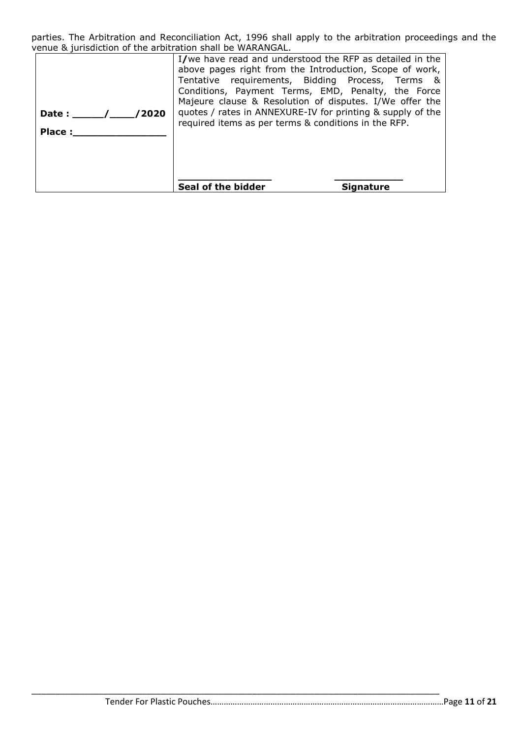parties. The Arbitration and Reconciliation Act, 1996 shall apply to the arbitration proceedings and the venue & jurisdiction of the arbitration shall be WARANGAL.

| /2020<br>Date: $\sqrt{ }$<br>Place: | I/we have read and understood the RFP as detailed in the<br>above pages right from the Introduction, Scope of work,<br>Tentative requirements, Bidding Process, Terms &<br>Conditions, Payment Terms, EMD, Penalty, the Force<br>Majeure clause & Resolution of disputes. I/We offer the<br>quotes / rates in ANNEXURE-IV for printing & supply of the<br>required items as per terms & conditions in the RFP. |           |
|-------------------------------------|----------------------------------------------------------------------------------------------------------------------------------------------------------------------------------------------------------------------------------------------------------------------------------------------------------------------------------------------------------------------------------------------------------------|-----------|
|                                     | Seal of the bidder                                                                                                                                                                                                                                                                                                                                                                                             | Sianature |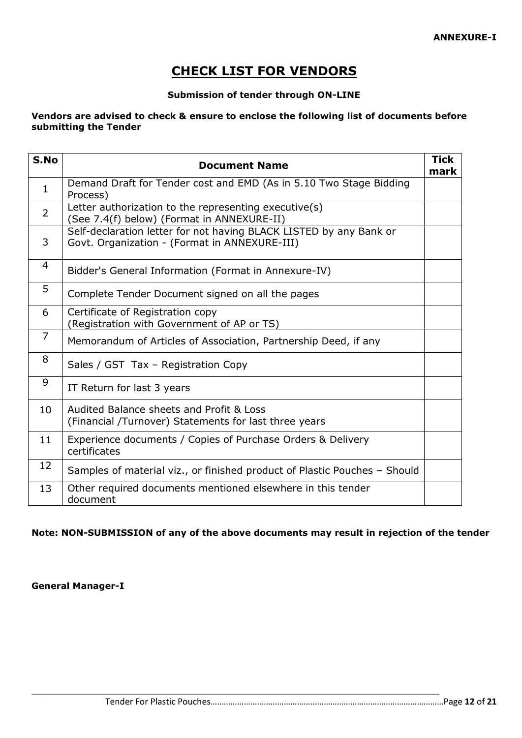# **CHECK LIST FOR VENDORS**

## **Submission of tender through ON-LINE**

## **Vendors are advised to check & ensure to enclose the following list of documents before submitting the Tender**

| S.No           | <b>Document Name</b>                                                                                                | <b>Tick</b><br>mark |
|----------------|---------------------------------------------------------------------------------------------------------------------|---------------------|
| $\mathbf{1}$   | Demand Draft for Tender cost and EMD (As in 5.10 Two Stage Bidding<br>Process)                                      |                     |
| $\overline{2}$ | Letter authorization to the representing executive(s)<br>(See 7.4(f) below) (Format in ANNEXURE-II)                 |                     |
| 3              | Self-declaration letter for not having BLACK LISTED by any Bank or<br>Govt. Organization - (Format in ANNEXURE-III) |                     |
| 4              | Bidder's General Information (Format in Annexure-IV)                                                                |                     |
| 5              | Complete Tender Document signed on all the pages                                                                    |                     |
| 6              | Certificate of Registration copy<br>(Registration with Government of AP or TS)                                      |                     |
| $\overline{7}$ | Memorandum of Articles of Association, Partnership Deed, if any                                                     |                     |
| 8              | Sales / GST Tax - Registration Copy                                                                                 |                     |
| 9              | IT Return for last 3 years                                                                                          |                     |
| 10             | Audited Balance sheets and Profit & Loss<br>(Financial /Turnover) Statements for last three years                   |                     |
| 11             | Experience documents / Copies of Purchase Orders & Delivery<br>certificates                                         |                     |
| 12             | Samples of material viz., or finished product of Plastic Pouches - Should                                           |                     |
| 13             | Other required documents mentioned elsewhere in this tender<br>document                                             |                     |

## **Note: NON-SUBMISSION of any of the above documents may result in rejection of the tender**

\_\_\_\_\_\_\_\_\_\_\_\_\_\_\_\_\_\_\_\_\_\_\_\_\_\_\_\_\_\_\_\_\_\_\_\_\_\_\_\_\_\_\_\_\_\_\_\_\_\_\_\_\_\_\_\_\_\_\_\_\_\_\_\_\_\_\_\_\_\_\_\_\_\_\_\_\_\_\_\_\_\_\_\_\_

**General Manager-I**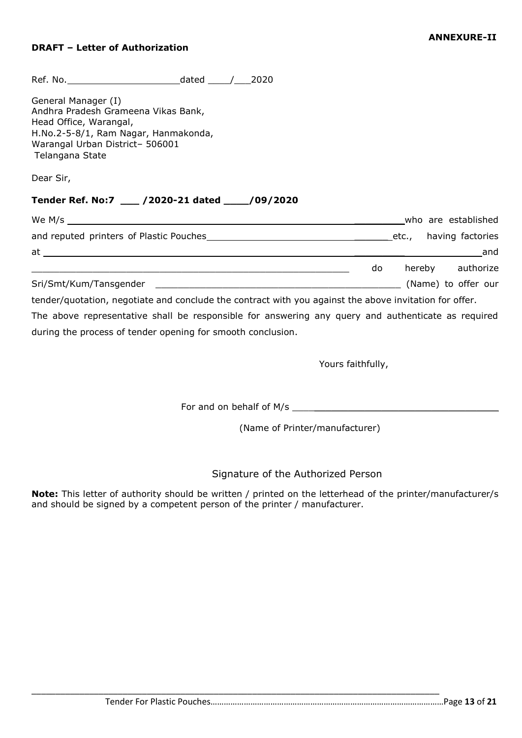## **DRAFT – Letter of Authorization**

| General Manager (I)<br>Andhra Pradesh Grameena Vikas Bank,<br>Head Office, Warangal,<br>H.No.2-5-8/1, Ram Nagar, Hanmakonda,<br>Warangal Urban District- 506001<br>Telangana State |  |  |  |                     |
|------------------------------------------------------------------------------------------------------------------------------------------------------------------------------------|--|--|--|---------------------|
| Dear Sir,                                                                                                                                                                          |  |  |  |                     |
| Tender Ref. No:7 ___ /2020-21 dated ___ /09/2020                                                                                                                                   |  |  |  |                     |
|                                                                                                                                                                                    |  |  |  |                     |
|                                                                                                                                                                                    |  |  |  |                     |
|                                                                                                                                                                                    |  |  |  |                     |
|                                                                                                                                                                                    |  |  |  | do hereby authorize |
|                                                                                                                                                                                    |  |  |  |                     |
| tender/quotation, negotiate and conclude the contract with you against the above invitation for offer.                                                                             |  |  |  |                     |
| The above representative shall be responsible for answering any query and authenticate as required                                                                                 |  |  |  |                     |

during the process of tender opening for smooth conclusion.

Yours faithfully,

For and on behalf of M/s \_\_\_\_\_\_\_\_\_\_\_\_\_\_\_\_\_\_\_\_\_\_\_\_\_\_\_\_\_\_\_\_\_\_\_\_\_

\_\_\_\_\_\_\_\_\_\_\_\_\_\_\_\_\_\_\_\_\_\_\_\_\_\_\_\_\_\_\_\_\_\_\_\_\_\_\_\_\_\_\_\_\_\_\_\_\_\_\_\_\_\_\_\_\_\_\_\_\_\_\_\_\_\_\_\_\_\_\_\_\_\_\_\_\_\_\_\_\_\_\_\_\_

(Name of Printer/manufacturer)

Signature of the Authorized Person

**Note:** This letter of authority should be written / printed on the letterhead of the printer/manufacturer/s and should be signed by a competent person of the printer / manufacturer.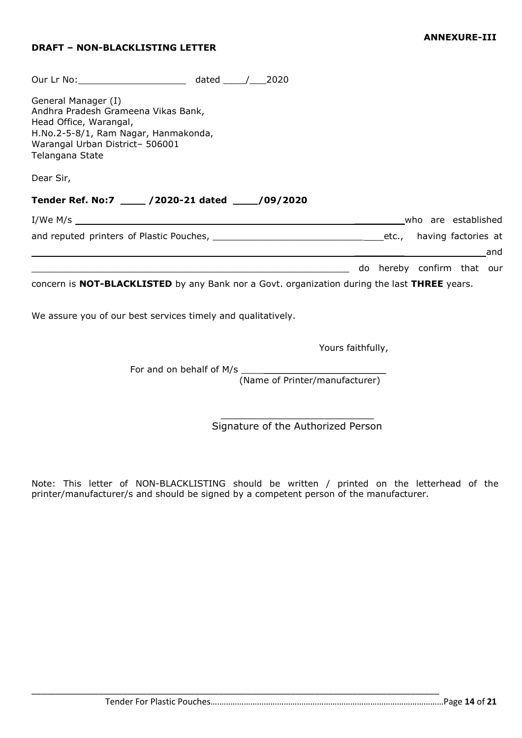## **DRAFT – NON-BLACKLISTING LETTER**

| General Manager (I)<br>Andhra Pradesh Grameena Vikas Bank,<br>Head Office, Warangal,<br>H.No.2-5-8/1, Ram Nagar, Hanmakonda,<br>Warangal Urban District- 506001<br>Telangana State |  |  |                            |     |
|------------------------------------------------------------------------------------------------------------------------------------------------------------------------------------|--|--|----------------------------|-----|
| Dear Sir,                                                                                                                                                                          |  |  |                            |     |
|                                                                                                                                                                                    |  |  |                            |     |
| Tender Ref. No:7 _____ /2020-21 dated _____/09/2020                                                                                                                                |  |  |                            |     |
|                                                                                                                                                                                    |  |  | who are established        |     |
|                                                                                                                                                                                    |  |  |                            |     |
|                                                                                                                                                                                    |  |  |                            | and |
|                                                                                                                                                                                    |  |  | do hereby confirm that our |     |

We assure you of our best services timely and qualitatively.

Yours faithfully,

For and on behalf of M/s

(Name of Printer/manufacturer)

 $\frac{1}{2}$  , and the set of the set of the set of the set of the set of the set of the set of the set of the set of the set of the set of the set of the set of the set of the set of the set of the set of the set of the set Signature of the Authorized Person

Note: This letter of NON-BLACKLISTING should be written / printed on the letterhead of the printer/manufacturer/s and should be signed by a competent person of the manufacturer.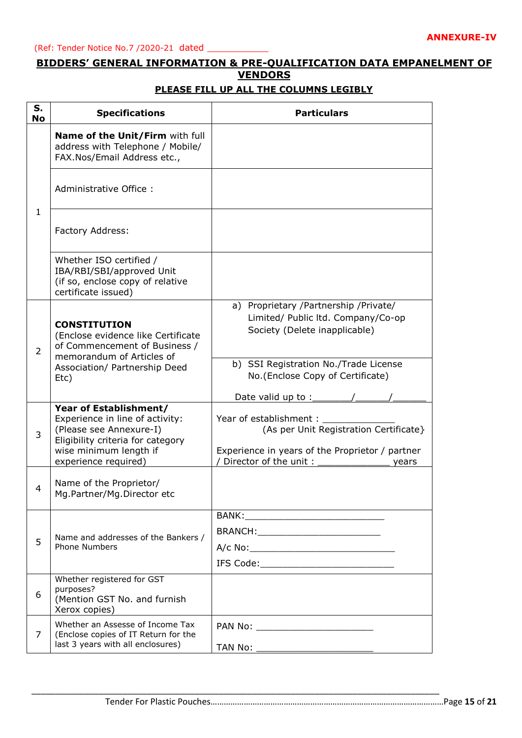## **BIDDERS' GENERAL INFORMATION & PRE-QUALIFICATION DATA EMPANELMENT OF VENDORS**

#### **S. No Specifications Particulars** 1 **Name of the Unit/Firm** with full address with Telephone / Mobile/ FAX.Nos/Email Address etc., Administrative Office : Factory Address: Whether ISO certified / IBA/RBI/SBI/approved Unit (if so, enclose copy of relative certificate issued) 2 **CONSTITUTION** (Enclose evidence like Certificate of Commencement of Business / memorandum of Articles of Association/ Partnership Deed Etc) a) Proprietary /Partnership /Private/ Limited/ Public ltd. Company/Co-op Society (Delete inapplicable) b) SSI Registration No./Trade License No.(Enclose Copy of Certificate) Date valid up to :  $\sqrt{2\pi}$ 3 **Year of Establishment/** Experience in line of activity: (Please see Annexure-I) Eligibility criteria for category wise minimum length if experience required) Year of establishment : (As per Unit Registration Certificate} Experience in years of the Proprietor / partner / Director of the unit : wears 4 Name of the Proprietor/ Mg.Partner/Mg.Director etc 5 Name and addresses of the Bankers / Phone Numbers BANK: BRANCH:  $A/c$  No: IFS Code:\_\_\_\_\_\_\_\_\_\_\_\_\_\_\_\_\_\_\_\_\_\_\_\_ 6 Whether registered for GST purposes? (Mention GST No. and furnish Xerox copies) 7 Whether an Assesse of Income Tax (Enclose copies of IT Return for the last 3 years with all enclosures) PAN No: TAN No: \_\_\_\_\_\_\_\_\_\_\_\_\_\_\_\_\_\_\_\_\_

\_\_\_\_\_\_\_\_\_\_\_\_\_\_\_\_\_\_\_\_\_\_\_\_\_\_\_\_\_\_\_\_\_\_\_\_\_\_\_\_\_\_\_\_\_\_\_\_\_\_\_\_\_\_\_\_\_\_\_\_\_\_\_\_\_\_\_\_\_\_\_\_\_\_\_\_\_\_\_\_\_\_\_\_\_

#### **PLEASE FILL UP ALL THE COLUMNS LEGIBLY**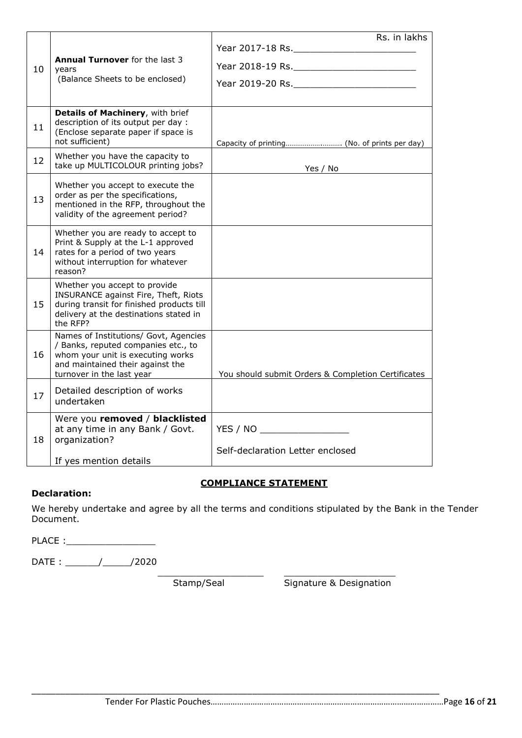|    |                                                                                                                                                                                    | Rs. in lakhs                                       |
|----|------------------------------------------------------------------------------------------------------------------------------------------------------------------------------------|----------------------------------------------------|
|    |                                                                                                                                                                                    | Year 2017-18 Rs.                                   |
| 10 | <b>Annual Turnover</b> for the last 3<br>years                                                                                                                                     | Year 2018-19 Rs.                                   |
|    | (Balance Sheets to be enclosed)                                                                                                                                                    |                                                    |
|    |                                                                                                                                                                                    |                                                    |
| 11 | Details of Machinery, with brief<br>description of its output per day :<br>(Enclose separate paper if space is<br>not sufficient)                                                  |                                                    |
| 12 | Whether you have the capacity to<br>take up MULTICOLOUR printing jobs?                                                                                                             | Yes / No                                           |
| 13 | Whether you accept to execute the<br>order as per the specifications,<br>mentioned in the RFP, throughout the<br>validity of the agreement period?                                 |                                                    |
| 14 | Whether you are ready to accept to<br>Print & Supply at the L-1 approved<br>rates for a period of two years<br>without interruption for whatever<br>reason?                        |                                                    |
| 15 | Whether you accept to provide<br>INSURANCE against Fire, Theft, Riots<br>during transit for finished products till<br>delivery at the destinations stated in<br>the RFP?           |                                                    |
| 16 | Names of Institutions/ Govt, Agencies<br>/ Banks, reputed companies etc., to<br>whom your unit is executing works<br>and maintained their against the<br>turnover in the last year | You should submit Orders & Completion Certificates |
| 17 | Detailed description of works<br>undertaken                                                                                                                                        |                                                    |
| 18 | Were you removed / blacklisted<br>at any time in any Bank / Govt.<br>organization?                                                                                                 | YES / NO<br>Self-declaration Letter enclosed       |
|    | If yes mention details                                                                                                                                                             |                                                    |

## **COMPLIANCE STATEMENT**

\_\_\_\_\_\_\_\_\_\_\_\_\_\_\_\_\_\_\_ \_\_\_\_\_\_\_\_\_\_\_\_\_\_\_\_\_\_\_\_

## **Declaration:**

We hereby undertake and agree by all the terms and conditions stipulated by the Bank in the Tender Document.

\_\_\_\_\_\_\_\_\_\_\_\_\_\_\_\_\_\_\_\_\_\_\_\_\_\_\_\_\_\_\_\_\_\_\_\_\_\_\_\_\_\_\_\_\_\_\_\_\_\_\_\_\_\_\_\_\_\_\_\_\_\_\_\_\_\_\_\_\_\_\_\_\_\_\_\_\_\_\_\_\_\_\_\_\_

PLACE :

DATE : \_\_\_\_\_\_/\_\_\_\_\_/2020

Stamp/Seal Signature & Designation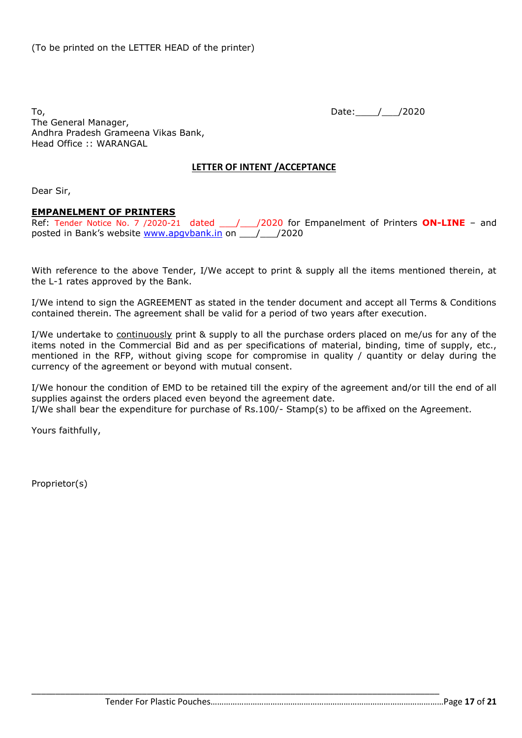To, 2020 and the contract of the contract of the contract of the contract of the contract of the contract of the contract of the contract of the contract of the contract of the contract of the contract of the contract of t The General Manager, Andhra Pradesh Grameena Vikas Bank, Head Office :: WARANGAL

## **LETTER OF INTENT /ACCEPTANCE**

Dear Sir,

#### **EMPANELMENT OF PRINTERS**

Ref: Tender Notice No. 7 /2020-21 dated 1/2020 for Empanelment of Printers ON-LINE - and posted in Bank's website [www.apgvbank.in](http://www.apgvbank.in/) on \_\_\_/\_\_\_/2020

With reference to the above Tender, I/We accept to print & supply all the items mentioned therein, at the L-1 rates approved by the Bank.

I/We intend to sign the AGREEMENT as stated in the tender document and accept all Terms & Conditions contained therein. The agreement shall be valid for a period of two years after execution.

I/We undertake to continuously print & supply to all the purchase orders placed on me/us for any of the items noted in the Commercial Bid and as per specifications of material, binding, time of supply, etc., mentioned in the RFP, without giving scope for compromise in quality / quantity or delay during the currency of the agreement or beyond with mutual consent.

I/We honour the condition of EMD to be retained till the expiry of the agreement and/or till the end of all supplies against the orders placed even beyond the agreement date.

I/We shall bear the expenditure for purchase of Rs.100/- Stamp(s) to be affixed on the Agreement.

Yours faithfully,

Proprietor(s)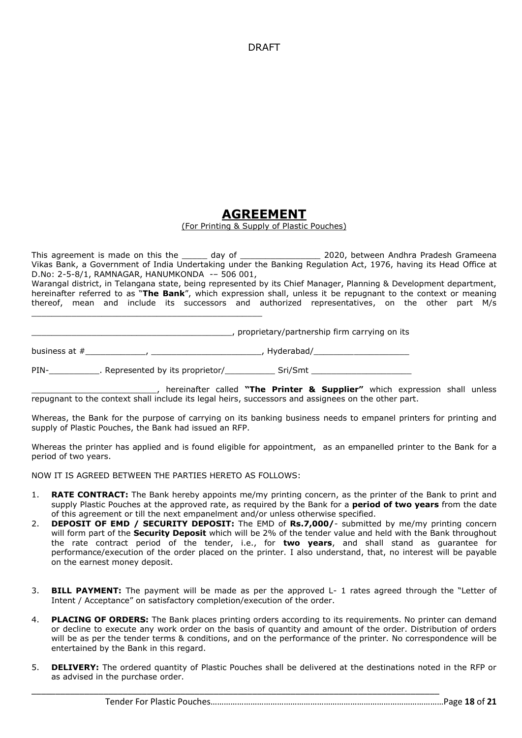DRAFT

## **AGREEMENT**

#### (For Printing & Supply of Plastic Pouches)

This agreement is made on this the \_\_\_\_\_\_ day of \_\_\_\_\_\_\_\_\_\_\_\_\_\_\_\_\_\_\_\_\_ 2020, between Andhra Pradesh Grameena Vikas Bank, a Government of India Undertaking under the Banking Regulation Act, 1976, having its Head Office at D.No: 2-5-8/1, RAMNAGAR, HANUMKONDA -– 506 001,

Warangal district, in Telangana state, being represented by its Chief Manager, Planning & Development department, hereinafter referred to as "**The Bank**", which expression shall, unless it be repugnant to the context or meaning thereof, mean and include its successors and authorized representatives, on the other part M/s

\_\_\_\_\_\_\_\_\_\_\_\_\_\_\_\_\_\_\_\_\_\_\_\_\_\_\_\_\_\_\_\_\_\_\_\_\_\_\_\_, proprietary/partnership firm carrying on its

business at #\_\_\_\_\_\_\_\_\_\_\_\_, \_\_\_\_\_\_\_\_\_\_\_\_\_\_\_\_\_\_\_\_\_\_, Hyderabad/\_\_\_\_\_\_\_\_\_\_\_\_\_\_\_\_\_\_\_

PIN-<br>
PIN-<br>
Represented by its proprietor/<br>
Sri/Smt

\_\_\_\_\_\_\_\_\_\_\_\_\_\_\_\_\_\_\_\_\_\_\_\_\_, hereinafter called **"The Printer & Supplier"** which expression shall unless repugnant to the context shall include its legal heirs, successors and assignees on the other part.

Whereas, the Bank for the purpose of carrying on its banking business needs to empanel printers for printing and supply of Plastic Pouches, the Bank had issued an RFP.

Whereas the printer has applied and is found eligible for appointment, as an empanelled printer to the Bank for a period of two years.

NOW IT IS AGREED BETWEEN THE PARTIES HERETO AS FOLLOWS:

\_\_\_\_\_\_\_\_\_\_\_\_\_\_\_\_\_\_\_\_\_\_\_\_\_\_\_\_\_\_\_\_\_\_\_\_\_\_\_\_\_\_\_\_\_\_

- 1. **RATE CONTRACT:** The Bank hereby appoints me/my printing concern, as the printer of the Bank to print and supply Plastic Pouches at the approved rate, as required by the Bank for a **period of two years** from the date of this agreement or till the next empanelment and/or unless otherwise specified.
- 2. **DEPOSIT OF EMD / SECURITY DEPOSIT:** The EMD of **Rs.7,000/** submitted by me/my printing concern will form part of the **Security Deposit** which will be 2% of the tender value and held with the Bank throughout the rate contract period of the tender, i.e., for **two years**, and shall stand as guarantee for performance/execution of the order placed on the printer. I also understand, that, no interest will be payable on the earnest money deposit.
- 3. **BILL PAYMENT:** The payment will be made as per the approved L- 1 rates agreed through the "Letter of Intent / Acceptance" on satisfactory completion/execution of the order.
- 4. **PLACING OF ORDERS:** The Bank places printing orders according to its requirements. No printer can demand or decline to execute any work order on the basis of quantity and amount of the order. Distribution of orders will be as per the tender terms & conditions, and on the performance of the printer. No correspondence will be entertained by the Bank in this regard.
- 5. **DELIVERY:** The ordered quantity of Plastic Pouches shall be delivered at the destinations noted in the RFP or as advised in the purchase order.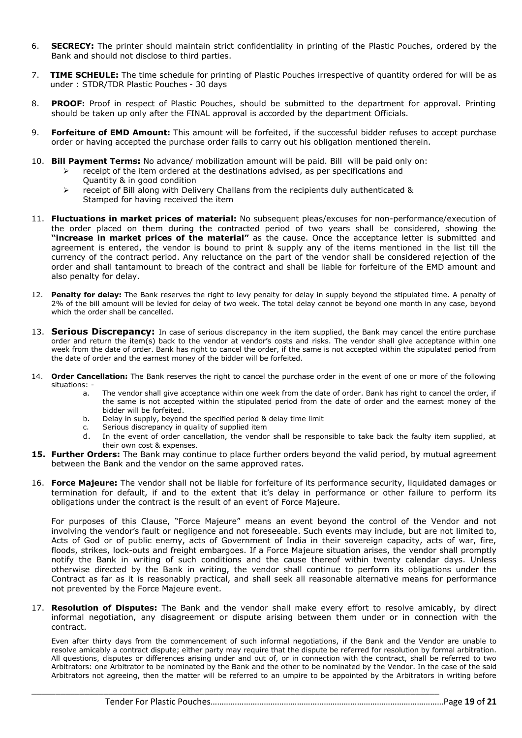- 6. **SECRECY:** The printer should maintain strict confidentiality in printing of the Plastic Pouches, ordered by the Bank and should not disclose to third parties.
- 7. **TIME SCHEULE:** The time schedule for printing of Plastic Pouches irrespective of quantity ordered for will be as under : STDR/TDR Plastic Pouches - 30 days
- 8. **PROOF:** Proof in respect of Plastic Pouches, should be submitted to the department for approval. Printing should be taken up only after the FINAL approval is accorded by the department Officials.
- 9. **Forfeiture of EMD Amount:** This amount will be forfeited, if the successful bidder refuses to accept purchase order or having accepted the purchase order fails to carry out his obligation mentioned therein.
- 10. **Bill Payment Terms:** No advance/ mobilization amount will be paid. Bill will be paid only on:
	- $\triangleright$  receipt of the item ordered at the destinations advised, as per specifications and Quantity & in good condition
	- $\triangleright$  receipt of Bill along with Delivery Challans from the recipients duly authenticated & Stamped for having received the item
- 11. **Fluctuations in market prices of material:** No subsequent pleas/excuses for non-performance/execution of the order placed on them during the contracted period of two years shall be considered, showing the **"increase in market prices of the material"** as the cause. Once the acceptance letter is submitted and agreement is entered, the vendor is bound to print & supply any of the items mentioned in the list till the currency of the contract period. Any reluctance on the part of the vendor shall be considered rejection of the order and shall tantamount to breach of the contract and shall be liable for forfeiture of the EMD amount and also penalty for delay.
- 12. **Penalty for delay:** The Bank reserves the right to levy penalty for delay in supply beyond the stipulated time. A penalty of 2% of the bill amount will be levied for delay of two week. The total delay cannot be beyond one month in any case, beyond which the order shall be cancelled.
- 13. **Serious Discrepancy:** In case of serious discrepancy in the item supplied, the Bank may cancel the entire purchase order and return the item(s) back to the vendor at vendor's costs and risks. The vendor shall give acceptance within one week from the date of order. Bank has right to cancel the order, if the same is not accepted within the stipulated period from the date of order and the earnest money of the bidder will be forfeited.
- 14. **Order Cancellation:** The Bank reserves the right to cancel the purchase order in the event of one or more of the following situations:
	- a. The vendor shall give acceptance within one week from the date of order. Bank has right to cancel the order, if the same is not accepted within the stipulated period from the date of order and the earnest money of the bidder will be forfeited.
	- b. Delay in supply, beyond the specified period & delay time limit
	- c. Serious discrepancy in quality of supplied item
	- d. In the event of order cancellation, the vendor shall be responsible to take back the faulty item supplied, at their own cost & expenses.
- **15. Further Orders:** The Bank may continue to place further orders beyond the valid period, by mutual agreement between the Bank and the vendor on the same approved rates.
- 16. **Force Majeure:** The vendor shall not be liable for forfeiture of its performance security, liquidated damages or termination for default, if and to the extent that it's delay in performance or other failure to perform its obligations under the contract is the result of an event of Force Majeure.

For purposes of this Clause, "Force Majeure" means an event beyond the control of the Vendor and not involving the vendor's fault or negligence and not foreseeable. Such events may include, but are not limited to, Acts of God or of public enemy, acts of Government of India in their sovereign capacity, acts of war, fire, floods, strikes, lock-outs and freight embargoes. If a Force Majeure situation arises, the vendor shall promptly notify the Bank in writing of such conditions and the cause thereof within twenty calendar days. Unless otherwise directed by the Bank in writing, the vendor shall continue to perform its obligations under the Contract as far as it is reasonably practical, and shall seek all reasonable alternative means for performance not prevented by the Force Majeure event.

17. **Resolution of Disputes:** The Bank and the vendor shall make every effort to resolve amicably, by direct informal negotiation, any disagreement or dispute arising between them under or in connection with the contract.

\_\_\_\_\_\_\_\_\_\_\_\_\_\_\_\_\_\_\_\_\_\_\_\_\_\_\_\_\_\_\_\_\_\_\_\_\_\_\_\_\_\_\_\_\_\_\_\_\_\_\_\_\_\_\_\_\_\_\_\_\_\_\_\_\_\_\_\_\_\_\_\_\_\_\_\_\_\_\_\_\_\_\_\_\_

Even after thirty days from the commencement of such informal negotiations, if the Bank and the Vendor are unable to resolve amicably a contract dispute; either party may require that the dispute be referred for resolution by formal arbitration. All questions, disputes or differences arising under and out of, or in connection with the contract, shall be referred to two Arbitrators: one Arbitrator to be nominated by the Bank and the other to be nominated by the Vendor. In the case of the said Arbitrators not agreeing, then the matter will be referred to an umpire to be appointed by the Arbitrators in writing before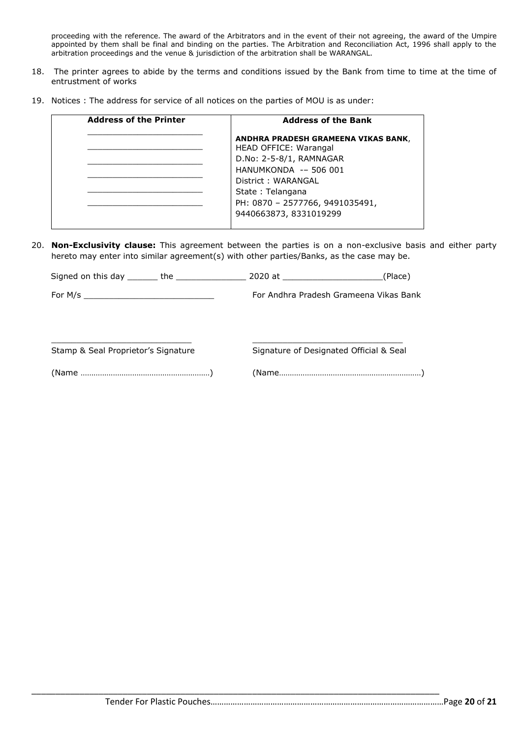proceeding with the reference. The award of the Arbitrators and in the event of their not agreeing, the award of the Umpire appointed by them shall be final and binding on the parties. The Arbitration and Reconciliation Act, 1996 shall apply to the arbitration proceedings and the venue & jurisdiction of the arbitration shall be WARANGAL.

- 18. The printer agrees to abide by the terms and conditions issued by the Bank from time to time at the time of entrustment of works
- 19. Notices : The address for service of all notices on the parties of MOU is as under:

| <b>Address of the Printer</b> | <b>Address of the Bank</b>                                          |
|-------------------------------|---------------------------------------------------------------------|
|                               | ANDHRA PRADESH GRAMEENA VIKAS BANK,<br><b>HEAD OFFICE: Warangal</b> |
|                               | D.No: 2-5-8/1, RAMNAGAR                                             |
|                               | HANUMKONDA -- 506 001                                               |
|                               | District: WARANGAL                                                  |
|                               | State: Telangana                                                    |
|                               | PH: 0870 - 2577766, 9491035491,                                     |
|                               | 9440663873, 8331019299                                              |

20. **Non-Exclusivity clause:** This agreement between the parties is on a non-exclusive basis and either party hereto may enter into similar agreement(s) with other parties/Banks, as the case may be.

Signed on this day \_\_\_\_\_\_\_ the \_\_\_\_\_\_\_\_\_\_\_\_\_\_\_\_\_\_\_\_\_\_ 2020 at \_\_\_\_\_\_\_\_\_\_\_\_\_\_\_\_\_\_\_\_\_\_\_\_\_\_(Place)

 $\Box$ 

For M/s \_\_\_\_\_\_\_\_\_\_\_\_\_\_\_\_\_\_\_\_\_\_\_\_\_\_ For Andhra Pradesh Grameena Vikas Bank

Stamp & Seal Proprietor's Signature Signature Signature of Designated Official & Seal

(Name ……………………………………………………) (Name…………………………………………………………)